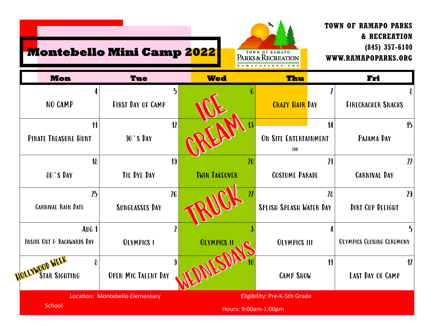

**TOWN OF RAMAPO PARKS**

**WWW.RAMAPOPARKS.ORG**

**& RECREATION**

**(845) 357-6100**

## **Montebello Mini Camp 2022**

| <b>Mon</b>                                            | <b>Tue</b>                               | <b>Wed</b>                 | Thu                                                    | Fri                                   |
|-------------------------------------------------------|------------------------------------------|----------------------------|--------------------------------------------------------|---------------------------------------|
| 4<br>NO CAMP                                          | 5<br><b>FIRST DAY OF CAMP</b>            |                            | <b>CRAZY HAIR DAY</b>                                  | <b>FIRECRACKER SNACKS</b>             |
| $\boldsymbol{\eta}$<br>PIRATE TREASURE HUNT           | 12<br><b>90'S DAY</b>                    |                            | $\overline{14}$<br>ON SITE ENTERTAINMENT<br><b>TBD</b> | 15<br>PAJAMA DAY                      |
| 18<br>80'S DAY                                        | 19<br>TIE DYE DAY                        | 20<br><b>TWIN TAKEOVER</b> | 21<br><b>COSTUME PARADE</b>                            | 22<br><b>CARNIVAL DAY</b>             |
| 25<br><b>CARNIVAL RAIN DATE</b>                       | 26<br><b>SUNGLASSES DAY</b>              |                            | 28<br><b>SPLISH SPLASH WATER DAY</b>                   | 29<br><b>DIRT CUP DELIGHT</b>         |
| <b>AUG 1</b><br><b>INSIDE OUT &amp; BACKWARDS DAY</b> | $\boldsymbol{\eta}$<br><b>OLYMPICS I</b> | <b>OLYMPICS I</b>          | <b>OLYMPICS III</b>                                    | 5<br><b>OLYMPICS CLOSING CEREMONY</b> |
| OLLYWOOD WEEK<br>8<br><b>STAR SIGHTING</b>            | 9<br><b>OPEN MIC TALENT DAY</b>          |                            | $\boldsymbol{\mathcal{U}}$<br><b>CAMP SHOW</b>         | 12<br>LAST DAY OF CAMP                |
| <b>School</b>                                         | Location: Montebello Elementary          | Hours: 9:00am-1:00pm       | Eligibility: Pre-K-5th Grade                           |                                       |